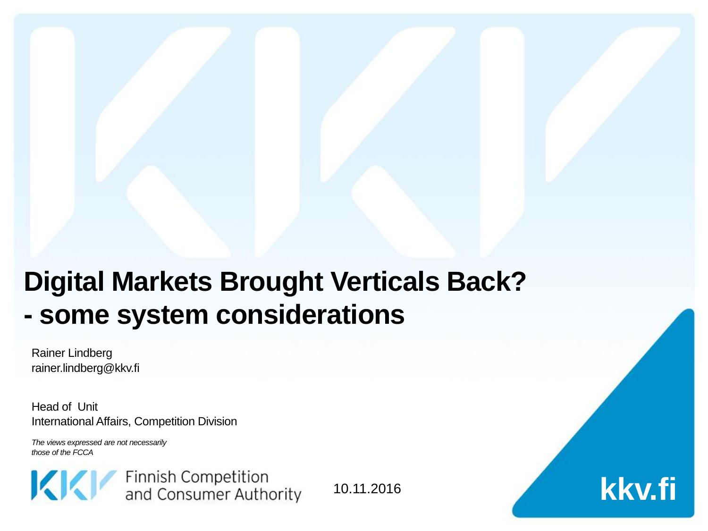# **Digital Markets Brought Verticals Back? - some system considerations**

Rainer Lindberg rainer.lindberg@kkv.fi

Head of Unit International Affairs, Competition Division

*The views expressed are not necessarily those of the FCCA*



10.11.2016

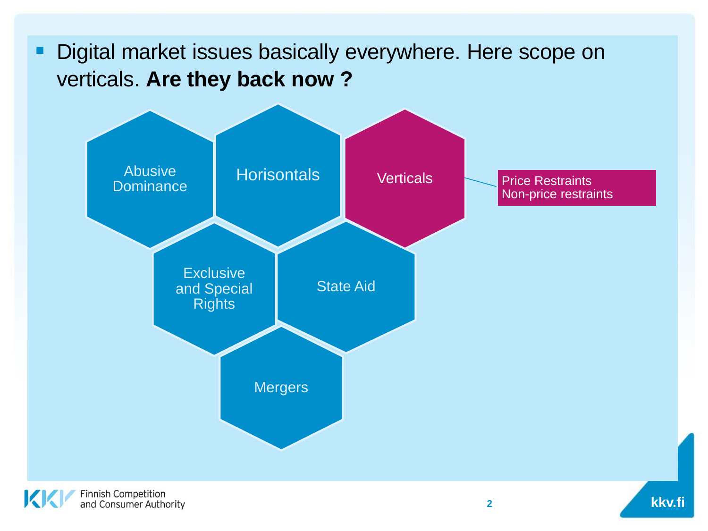#### **• Digital market issues basically everywhere. Here scope on** verticals. **Are they back now ?**

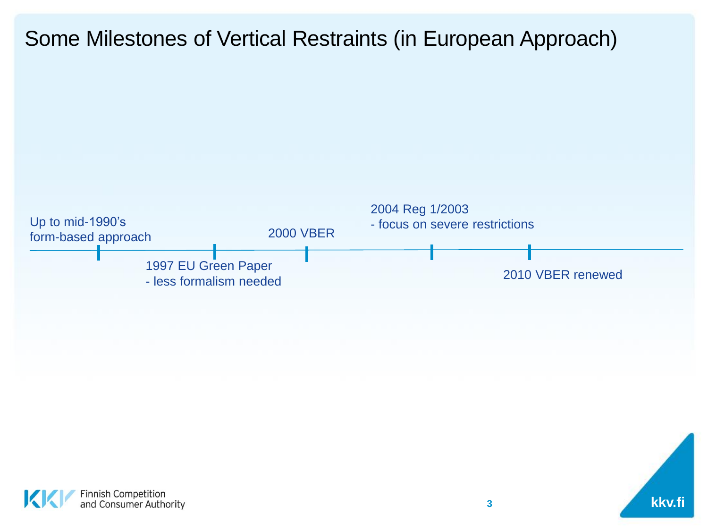#### Some Milestones of Vertical Restraints (in European Approach)



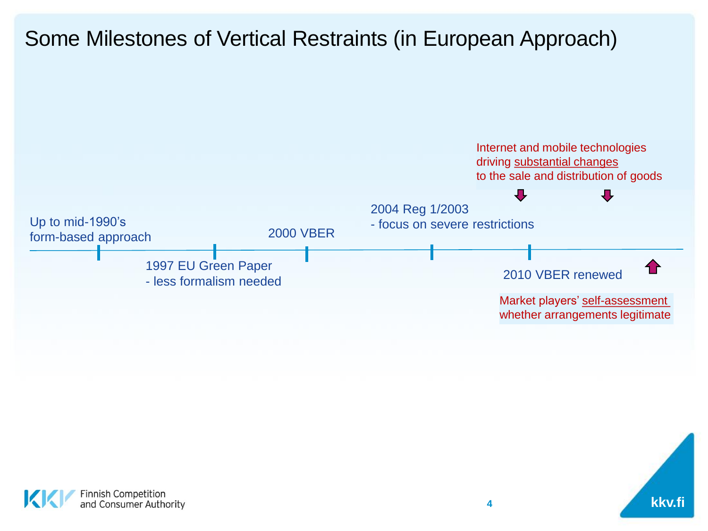#### Some Milestones of Vertical Restraints (in European Approach)





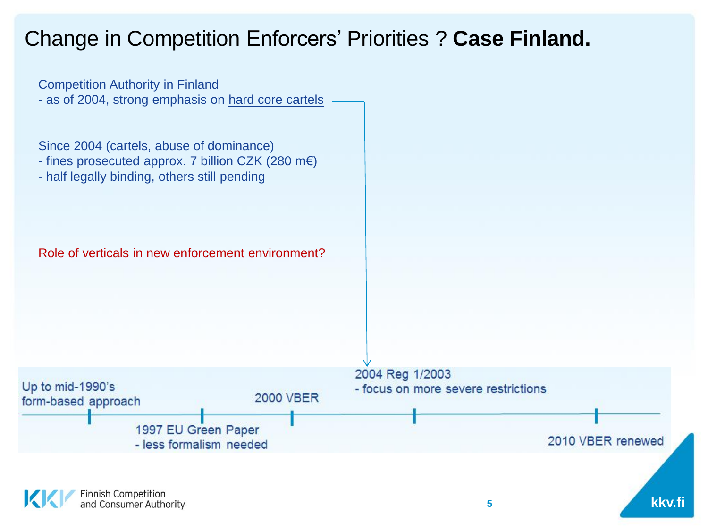#### Change in Competition Enforcers' Priorities ? **Case Finland.**

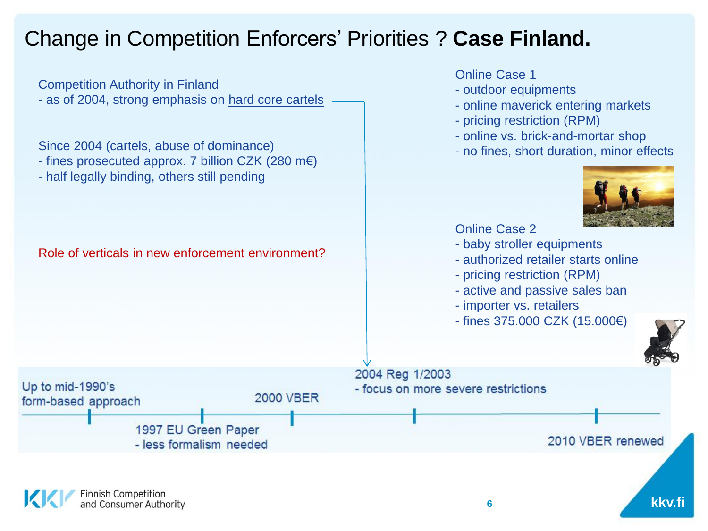#### Change in Competition Enforcers' Priorities ? **Case Finland.**

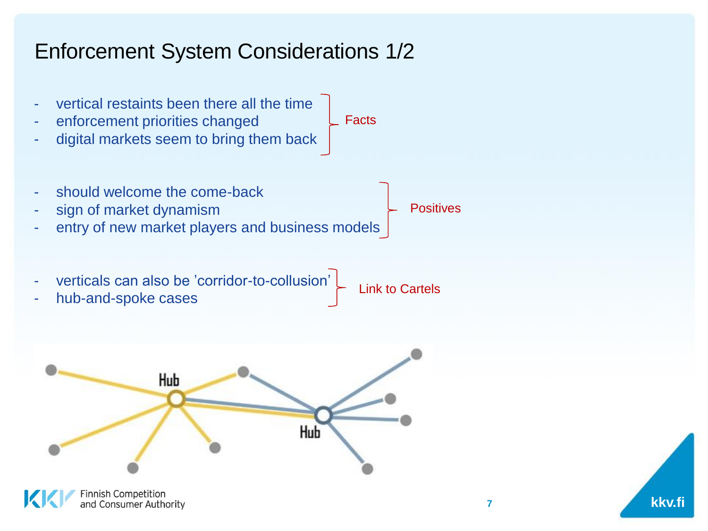#### Enforcement System Considerations 1/2



innish Competition<sup>.</sup> and Consumer Authority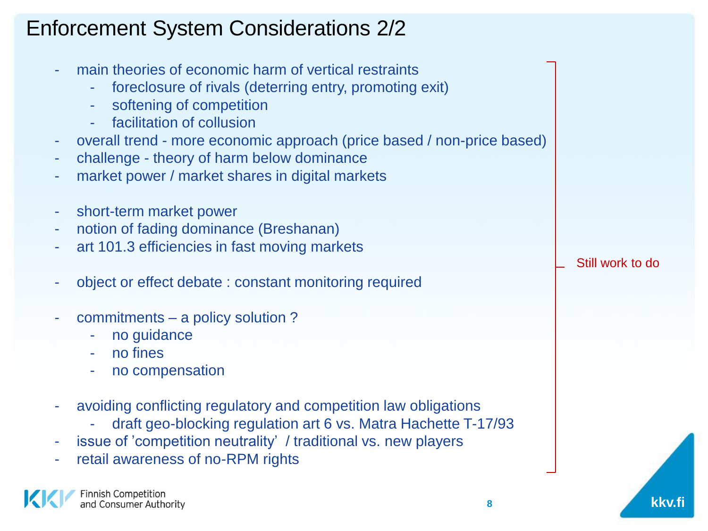#### Enforcement System Considerations 2/2

- main theories of economic harm of vertical restraints
	- foreclosure of rivals (deterring entry, promoting exit)
	- softening of competition
	- facilitation of collusion
- overall trend more economic approach (price based / non-price based)
- challenge theory of harm below dominance
- market power / market shares in digital markets
- short-term market power
- notion of fading dominance (Breshanan)
- art 101.3 efficiencies in fast moving markets
- object or effect debate : constant monitoring required
- commitments a policy solution?
	- no guidance
	- no fines
	- no compensation
- avoiding conflicting regulatory and competition law obligations
	- draft geo-blocking regulation art 6 vs. Matra Hachette T-17/93
- issue of 'competition neutrality' / traditional vs. new players
- retail awareness of no-RPM rights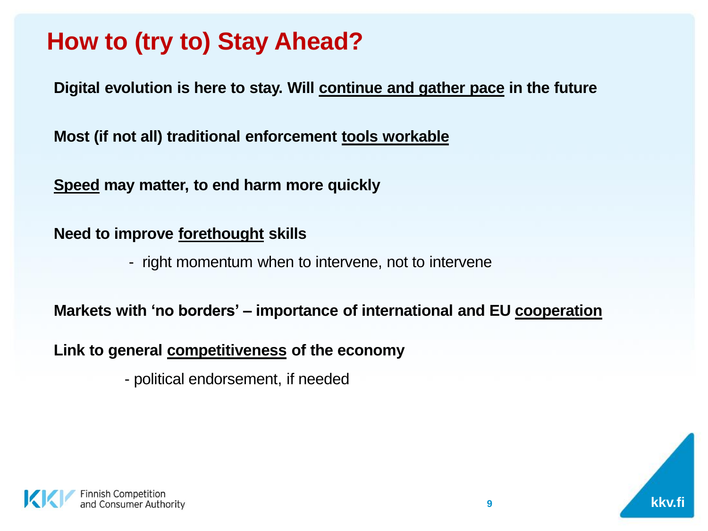## **How to (try to) Stay Ahead?**

**Digital evolution is here to stay. Will continue and gather pace in the future**

**Most (if not all) traditional enforcement tools workable**

**Speed may matter, to end harm more quickly**

**Need to improve forethought skills** 

- right momentum when to intervene, not to intervene

**Markets with 'no borders' – importance of international and EU cooperation**

**Link to general competitiveness of the economy** 

- political endorsement, if needed